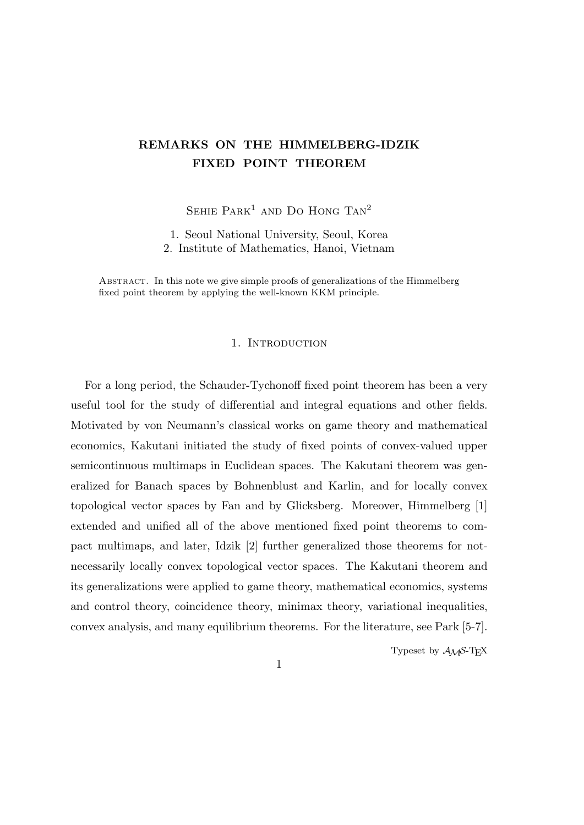# **REMARKS ON THE HIMMELBERG-IDZIK FIXED POINT THEOREM**

SEHIE  $PARK<sup>1</sup>$  and Do Hong  $TAN<sup>2</sup>$ 

1. Seoul National University, Seoul, Korea 2. Institute of Mathematics, Hanoi, Vietnam

Abstract. In this note we give simple proofs of generalizations of the Himmelberg fixed point theorem by applying the well-known KKM principle.

## 1. INTRODUCTION

For a long period, the Schauder-Tychonoff fixed point theorem has been a very useful tool for the study of differential and integral equations and other fields. Motivated by von Neumann's classical works on game theory and mathematical economics, Kakutani initiated the study of fixed points of convex-valued upper semicontinuous multimaps in Euclidean spaces. The Kakutani theorem was generalized for Banach spaces by Bohnenblust and Karlin, and for locally convex topological vector spaces by Fan and by Glicksberg. Moreover, Himmelberg [1] extended and unified all of the above mentioned fixed point theorems to compact multimaps, and later, Idzik [2] further generalized those theorems for notnecessarily locally convex topological vector spaces. The Kakutani theorem and its generalizations were applied to game theory, mathematical economics, systems and control theory, coincidence theory, minimax theory, variational inequalities, convex analysis, and many equilibrium theorems. For the literature, see Park [5-7].

Typeset by  $A_{\mathcal{M}}S$ -T<sub>E</sub>X

1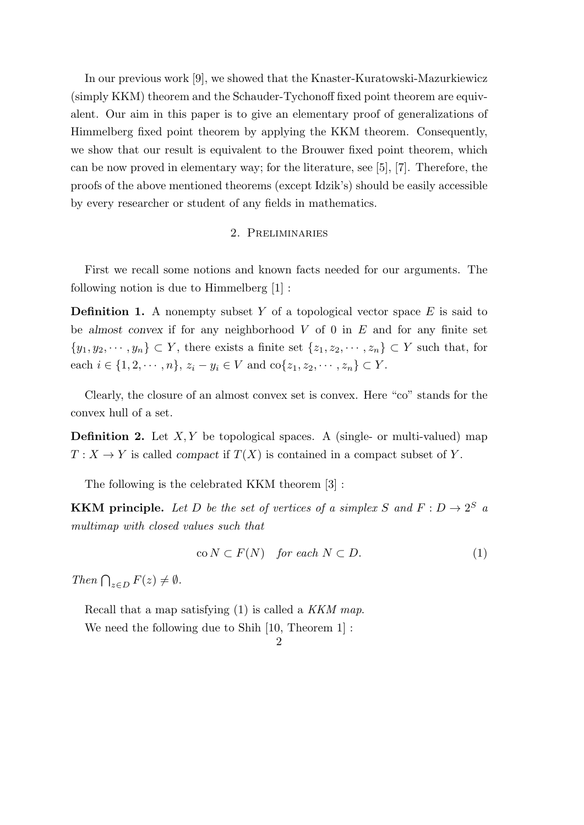In our previous work [9], we showed that the Knaster-Kuratowski-Mazurkiewicz (simply KKM) theorem and the Schauder-Tychonoff fixed point theorem are equivalent. Our aim in this paper is to give an elementary proof of generalizations of Himmelberg fixed point theorem by applying the KKM theorem. Consequently, we show that our result is equivalent to the Brouwer fixed point theorem, which can be now proved in elementary way; for the literature, see [5], [7]. Therefore, the proofs of the above mentioned theorems (except Idzik's) should be easily accessible by every researcher or student of any fields in mathematics.

# 2. Preliminaries

First we recall some notions and known facts needed for our arguments. The following notion is due to  $H$ immelberg  $|1|$ :

**Definition 1.** A nonempty subset *Y* of a topological vector space *E* is said to be *almost convex* if for any neighborhood *V* of 0 in *E* and for any finite set *{y*<sub>1</sub>*, y*<sub>2</sub>*,*  $\cdots$  *, y<sub>n</sub>*} ⊂ *Y*, there exists a finite set  $\{z_1, z_2, \cdots, z_n\}$  ⊂ *Y* such that, for each  $i \in \{1, 2, \dots, n\}, z_i - y_i \in V$  and  $\text{co}\{z_1, z_2, \dots, z_n\} \subset Y$ .

Clearly, the closure of an almost convex set is convex. Here "co" stands for the convex hull of a set.

**Definition 2.** Let *X, Y* be topological spaces. A (single- or multi-valued) map  $T: X \to Y$  is called *compact* if  $T(X)$  is contained in a compact subset of *Y*.

The following is the celebrated KKM theorem [3] :

**KKM principle.** Let D be the set of vertices of a simplex S and  $F: D \to 2^S$  a *multimap with closed values such that*

$$
co N \subset F(N) \quad for each N \subset D.
$$
 (1)

*Then*  $\bigcap_{z \in D} F(z) \neq \emptyset$ *.* 

Recall that a map satisfying (1) is called a *KKM map*. We need the following due to Shih [10, Theorem 1] :

# $\mathcal{D}_{\mathcal{L}}$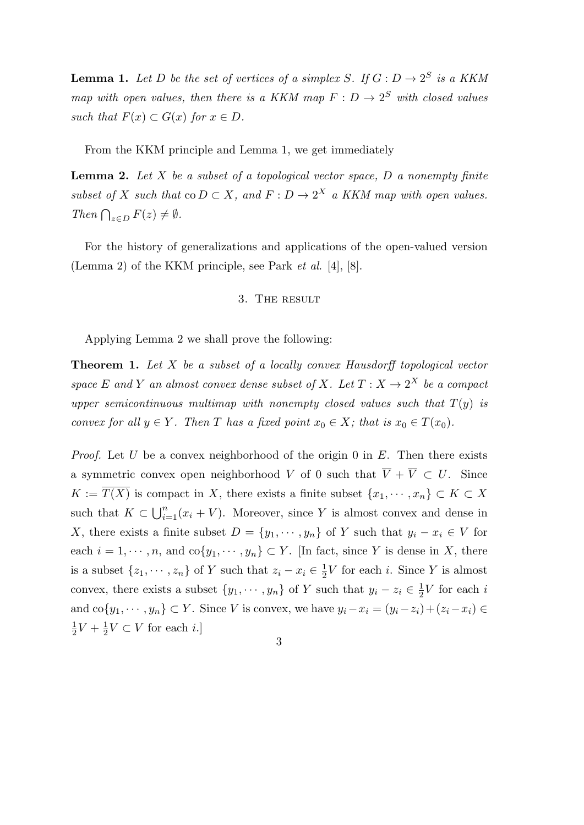**Lemma 1.** Let D be the set of vertices of a simplex S. If  $G: D \to 2^S$  is a KKM *map with open values, then there is a KKM map*  $F: D \to 2^S$  *with closed values such that*  $F(x) \subset G(x)$  *for*  $x \in D$ .

From the KKM principle and Lemma 1, we get immediately

**Lemma 2.** *Let X be a subset of a topological vector space, D a nonempty finite subset of X such that*  $\text{co } D \subset X$ *, and*  $F: D \to 2^X$  *a KKM map with open values. Then*  $\bigcap_{z \in D} F(z) \neq \emptyset$ *.* 

For the history of generalizations and applications of the open-valued version (Lemma 2) of the KKM principle, see Park *et al*. [4], [8].

## 3. The result

Applying Lemma 2 we shall prove the following:

**Theorem 1.** *Let X be a subset of a locally convex Hausdorff topological vector space*  $E$  *and*  $Y$  *an almost convex dense subset of*  $X$ *. Let*  $T : X \rightarrow 2^X$  *be a compact upper semicontinuous multimap with nonempty closed values such that*  $T(y)$  *is convex for all*  $y \in Y$ *. Then T has a fixed point*  $x_0 \in X$ *; that is*  $x_0 \in T(x_0)$ *.* 

*Proof.* Let *U* be a convex neighborhood of the origin 0 in *E*. Then there exists a symmetric convex open neighborhood *V* of 0 such that  $\overline{V} + \overline{V} \subset U$ . Since *K* :=  $\overline{T(X)}$  is compact in *X*, there exists a finite subset  $\{x_1, \dots, x_n\}$  ⊂ *K* ⊂ *X* such that  $K \subset \bigcup_{i=1}^{n} (x_i + V)$ . Moreover, since *Y* is almost convex and dense in *X*, there exists a finite subset  $D = \{y_1, \dots, y_n\}$  of *Y* such that  $y_i - x_i \in V$  for each  $i = 1, \dots, n$ , and  $\text{co}\{y_1, \dots, y_n\} \subset Y$ . [In fact, since *Y* is dense in *X*, there is a subset  $\{z_1, \dots, z_n\}$  of *Y* such that  $z_i - x_i \in \frac{1}{2}$  $\frac{1}{2}V$  for each *i*. Since *Y* is almost convex, there exists a subset  $\{y_1, \dots, y_n\}$  of *Y* such that  $y_i - z_i \in \frac{1}{2}$  $\frac{1}{2}V$  for each *i* and  $\text{co}\{y_1, \dots, y_n\} \subset Y$ . Since V is convex, we have  $y_i - x_i = (y_i - z_i) + (z_i - x_i) \in$ 1  $\frac{1}{2}V + \frac{1}{2}$  $\frac{1}{2}V$  ⊂ *V* for each *i*.]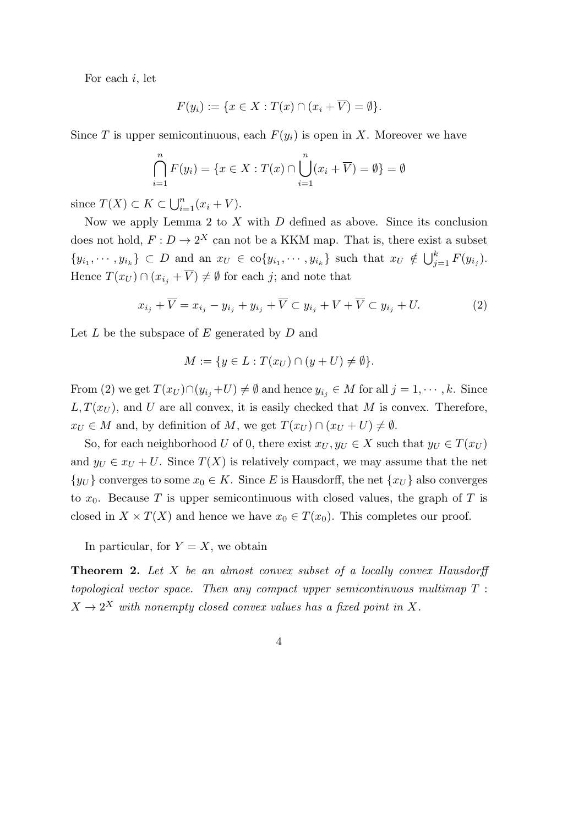For each *i*, let

$$
F(y_i) := \{ x \in X : T(x) \cap (x_i + \overline{V}) = \emptyset \}.
$$

Since *T* is upper semicontinuous, each  $F(y_i)$  is open in *X*. Moreover we have

$$
\bigcap_{i=1}^{n} F(y_i) = \{ x \in X : T(x) \cap \bigcup_{i=1}^{n} (x_i + \overline{V}) = \emptyset \} = \emptyset
$$

since  $T(X) \subset K \subset \bigcup_{i=1}^{n} (x_i + V)$ .

Now we apply Lemma 2 to *X* with *D* defined as above. Since its conclusion does not hold,  $F: D \to 2^X$  can not be a KKM map. That is, there exist a subset  $\{y_{i_1},\dots,y_{i_k}\}\subset D$  and an  $x_U\in \text{co}\{y_{i_1},\dots,y_{i_k}\}\$  such that  $x_U\notin \bigcup_{j=1}^k F(y_{i_j}).$ Hence  $T(x_U) \cap (x_{i_j} + \overline{V}) \neq \emptyset$  for each *j*; and note that

$$
x_{i_j} + \overline{V} = x_{i_j} - y_{i_j} + y_{i_j} + \overline{V} \subset y_{i_j} + V + \overline{V} \subset y_{i_j} + U. \tag{2}
$$

Let *L* be the subspace of *E* generated by *D* and

$$
M := \{ y \in L : T(x_U) \cap (y + U) \neq \emptyset \}.
$$

From (2) we get  $T(x_U) \cap (y_{i_j} + U) \neq \emptyset$  and hence  $y_{i_j} \in M$  for all  $j = 1, \dots, k$ . Since  $L, T(x_U)$ , and *U* are all convex, it is easily checked that *M* is convex. Therefore,  $x_U \in M$  and, by definition of *M*, we get  $T(x_U) \cap (x_U + U) \neq \emptyset$ .

So, for each neighborhood *U* of 0, there exist  $x_U, y_U \in X$  such that  $y_U \in T(x_U)$ and  $y_U \in x_U + U$ . Since  $T(X)$  is relatively compact, we may assume that the net *{yU*}</sub> converges to some *x*<sup>0</sup>  $∈$  *K*. Since *E* is Hausdorff, the net  ${x<sub>U</sub>}$  also converges to  $x_0$ . Because T is upper semicontinuous with closed values, the graph of T is closed in  $X \times T(X)$  and hence we have  $x_0 \in T(x_0)$ . This completes our proof.

In particular, for  $Y = X$ , we obtain

**Theorem 2.** *Let X be an almost convex subset of a locally convex Hausdorff topological vector space. Then any compact upper semicontinuous multimap T* :  $X \rightarrow 2^X$  with nonempty closed convex values has a fixed point in X.

$$
4\phantom{.0}
$$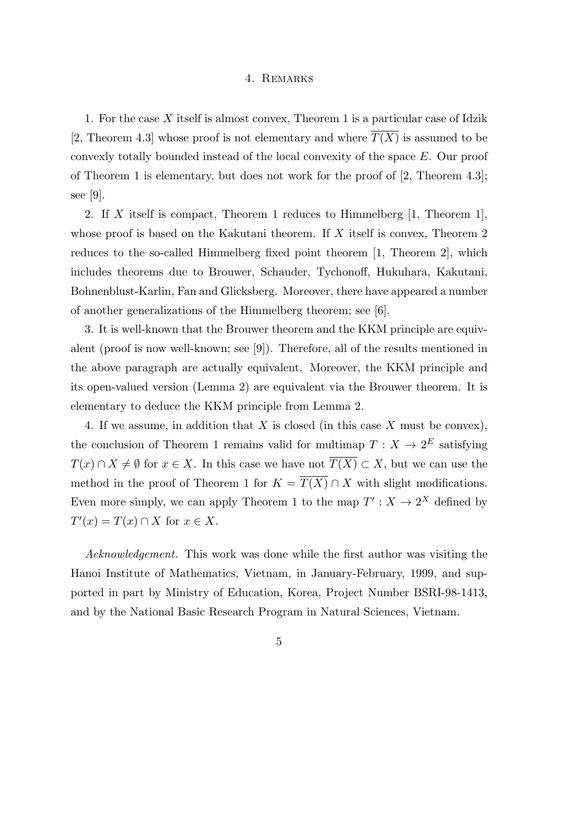### 4. Remarks

1. For the case *X* itself is almost convex, Theorem 1 is a particular case of Idzik [2, Theorem 4.3] whose proof is not elementary and where  $\overline{T(X)}$  is assumed to be convexly totally bounded instead of the local convexity of the space *E*. Our proof of Theorem 1 is elementary, but does not work for the proof of [2, Theorem 4.3]; see  $|9|$ .

2. If *X* itself is compact, Theorem 1 reduces to Himmelberg [1, Theorem 1], whose proof is based on the Kakutani theorem. If *X* itself is convex, Theorem 2 reduces to the so-called Himmelberg fixed point theorem [1, Theorem 2], which includes theorems due to Brouwer, Schauder, Tychonoff, Hukuhara, Kakutani, Bohnenblust-Karlin, Fan and Glicksberg. Moreover, there have appeared a number of another generalizations of the Himmelberg theorem; see [6].

3. It is well-known that the Brouwer theorem and the KKM principle are equivalent (proof is now well-known; see [9]). Therefore, all of the results mentioned in the above paragraph are actually equivalent. Moreover, the KKM principle and its open-valued version (Lemma 2) are equivalent via the Brouwer theorem. It is elementary to deduce the KKM principle from Lemma 2.

4. If we assume, in addition that *X* is closed (in this case *X* must be convex), the conclusion of Theorem 1 remains valid for multimap  $T: X \to 2^E$  satisfying *T*(*x*) ∩ *X*  $\neq$  *Ø* for *x*  $\in$  *X*. In this case we have not  $\overline{T(X)} \subset X$ , but we can use the method in the proof of Theorem 1 for  $K = \overline{T(X)} \cap X$  with slight modifications. Even more simply, we can apply Theorem 1 to the map  $T' : X \to 2^X$  defined by  $T'(x) = T(x) \cap X$  for  $x \in X$ .

*Acknowledgement.* This work was done while the first author was visiting the Hanoi Institute of Mathematics, Vietnam, in January-February, 1999, and supported in part by Ministry of Education, Korea, Project Number BSRI-98-1413, and by the National Basic Research Program in Natural Sciences, Vietnam.

5